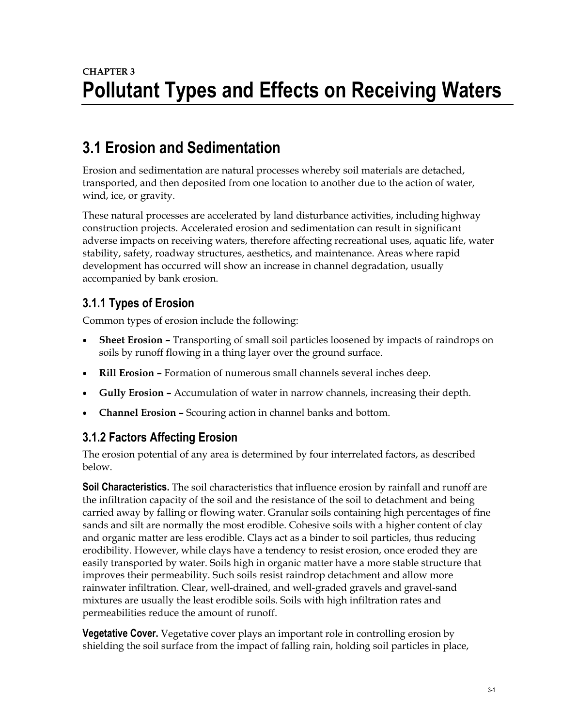## **CHAPTER 3 Pollutant Types and Effects on Receiving Waters**

## **3.1 Erosion and Sedimentation**

Erosion and sedimentation are natural processes whereby soil materials are detached, transported, and then deposited from one location to another due to the action of water, wind, ice, or gravity.

These natural processes are accelerated by land disturbance activities, including highway construction projects. Accelerated erosion and sedimentation can result in significant adverse impacts on receiving waters, therefore affecting recreational uses, aquatic life, water stability, safety, roadway structures, aesthetics, and maintenance. Areas where rapid development has occurred will show an increase in channel degradation, usually accompanied by bank erosion.

### **3.1.1 Types of Erosion**

Common types of erosion include the following:

- **Sheet Erosion –** Transporting of small soil particles loosened by impacts of raindrops on soils by runoff flowing in a thing layer over the ground surface.
- **Rill Erosion –** Formation of numerous small channels several inches deep.
- **Gully Erosion –** Accumulation of water in narrow channels, increasing their depth.
- **Channel Erosion –** Scouring action in channel banks and bottom.

### **3.1.2 Factors Affecting Erosion**

The erosion potential of any area is determined by four interrelated factors, as described below.

**Soil Characteristics.** The soil characteristics that influence erosion by rainfall and runoff are the infiltration capacity of the soil and the resistance of the soil to detachment and being carried away by falling or flowing water. Granular soils containing high percentages of fine sands and silt are normally the most erodible. Cohesive soils with a higher content of clay and organic matter are less erodible. Clays act as a binder to soil particles, thus reducing erodibility. However, while clays have a tendency to resist erosion, once eroded they are easily transported by water. Soils high in organic matter have a more stable structure that improves their permeability. Such soils resist raindrop detachment and allow more rainwater infiltration. Clear, well-drained, and well-graded gravels and gravel-sand mixtures are usually the least erodible soils. Soils with high infiltration rates and permeabilities reduce the amount of runoff.

**Vegetative Cover.** Vegetative cover plays an important role in controlling erosion by shielding the soil surface from the impact of falling rain, holding soil particles in place,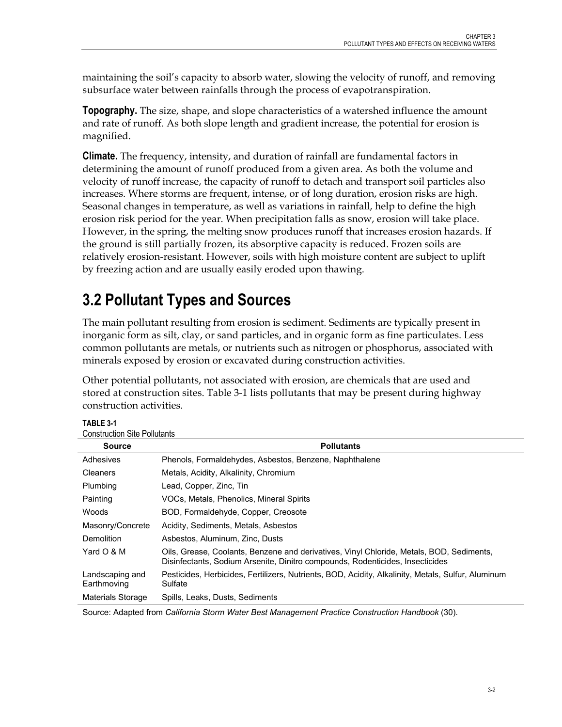maintaining the soil's capacity to absorb water, slowing the velocity of runoff, and removing subsurface water between rainfalls through the process of evapotranspiration.

**Topography.** The size, shape, and slope characteristics of a watershed influence the amount and rate of runoff. As both slope length and gradient increase, the potential for erosion is magnified.

**Climate.** The frequency, intensity, and duration of rainfall are fundamental factors in determining the amount of runoff produced from a given area. As both the volume and velocity of runoff increase, the capacity of runoff to detach and transport soil particles also increases. Where storms are frequent, intense, or of long duration, erosion risks are high. Seasonal changes in temperature, as well as variations in rainfall, help to define the high erosion risk period for the year. When precipitation falls as snow, erosion will take place. However, in the spring, the melting snow produces runoff that increases erosion hazards. If the ground is still partially frozen, its absorptive capacity is reduced. Frozen soils are relatively erosion-resistant. However, soils with high moisture content are subject to uplift by freezing action and are usually easily eroded upon thawing.

# **3.2 Pollutant Types and Sources**

The main pollutant resulting from erosion is sediment. Sediments are typically present in inorganic form as silt, clay, or sand particles, and in organic form as fine particulates. Less common pollutants are metals, or nutrients such as nitrogen or phosphorus, associated with minerals exposed by erosion or excavated during construction activities.

Other potential pollutants, not associated with erosion, are chemicals that are used and stored at construction sites. Table 3-1 lists pollutants that may be present during highway construction activities.

| <b>Construction Site Pollutants</b> |                                                                                                                                                                           |  |  |  |
|-------------------------------------|---------------------------------------------------------------------------------------------------------------------------------------------------------------------------|--|--|--|
| <b>Source</b>                       | <b>Pollutants</b>                                                                                                                                                         |  |  |  |
| Adhesives                           | Phenols, Formaldehydes, Asbestos, Benzene, Naphthalene                                                                                                                    |  |  |  |
| Cleaners                            | Metals, Acidity, Alkalinity, Chromium                                                                                                                                     |  |  |  |
| Plumbing                            | Lead, Copper, Zinc, Tin.                                                                                                                                                  |  |  |  |
| Painting                            | VOCs, Metals, Phenolics, Mineral Spirits                                                                                                                                  |  |  |  |
| Woods                               | BOD, Formaldehyde, Copper, Creosote                                                                                                                                       |  |  |  |
| Masonry/Concrete                    | Acidity, Sediments, Metals, Asbestos                                                                                                                                      |  |  |  |
| Demolition                          | Asbestos, Aluminum, Zinc, Dusts                                                                                                                                           |  |  |  |
| Yard O & M                          | Oils, Grease, Coolants, Benzene and derivatives, Vinyl Chloride, Metals, BOD, Sediments,<br>Disinfectants, Sodium Arsenite, Dinitro compounds, Rodenticides, Insecticides |  |  |  |
| Landscaping and<br>Earthmoving      | Pesticides, Herbicides, Fertilizers, Nutrients, BOD, Acidity, Alkalinity, Metals, Sulfur, Aluminum<br>Sulfate                                                             |  |  |  |
| Materials Storage                   | Spills, Leaks, Dusts, Sediments                                                                                                                                           |  |  |  |

**TABLE 3-1**

Source: Adapted from *California Storm Water Best Management Practice Construction Handbook* (30).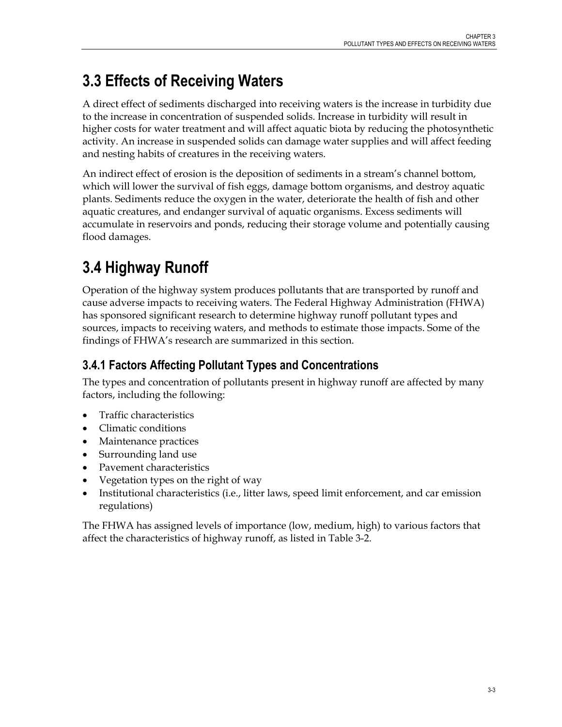# **3.3 Effects of Receiving Waters**

A direct effect of sediments discharged into receiving waters is the increase in turbidity due to the increase in concentration of suspended solids. Increase in turbidity will result in higher costs for water treatment and will affect aquatic biota by reducing the photosynthetic activity. An increase in suspended solids can damage water supplies and will affect feeding and nesting habits of creatures in the receiving waters.

An indirect effect of erosion is the deposition of sediments in a stream's channel bottom, which will lower the survival of fish eggs, damage bottom organisms, and destroy aquatic plants. Sediments reduce the oxygen in the water, deteriorate the health of fish and other aquatic creatures, and endanger survival of aquatic organisms. Excess sediments will accumulate in reservoirs and ponds, reducing their storage volume and potentially causing flood damages.

# **3.4 Highway Runoff**

Operation of the highway system produces pollutants that are transported by runoff and cause adverse impacts to receiving waters. The Federal Highway Administration (FHWA) has sponsored significant research to determine highway runoff pollutant types and sources, impacts to receiving waters, and methods to estimate those impacts. Some of the findings of FHWA's research are summarized in this section.

## **3.4.1 Factors Affecting Pollutant Types and Concentrations**

The types and concentration of pollutants present in highway runoff are affected by many factors, including the following:

- Traffic characteristics
- Climatic conditions
- Maintenance practices
- Surrounding land use
- Pavement characteristics
- Vegetation types on the right of way
- Institutional characteristics (i.e., litter laws, speed limit enforcement, and car emission regulations)

The FHWA has assigned levels of importance (low, medium, high) to various factors that affect the characteristics of highway runoff, as listed in Table 3-2.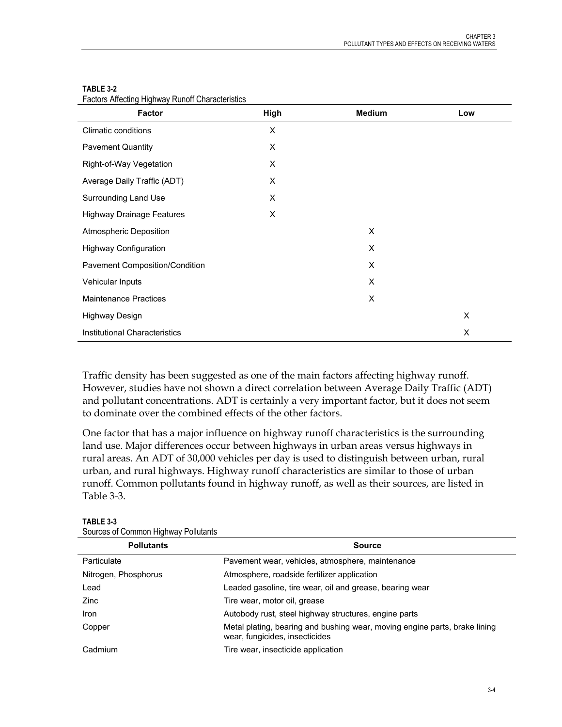| <b>Factor</b>                    | High | <b>Medium</b> | Low |
|----------------------------------|------|---------------|-----|
| Climatic conditions              | X    |               |     |
| <b>Pavement Quantity</b>         | X    |               |     |
| Right-of-Way Vegetation          | X    |               |     |
| Average Daily Traffic (ADT)      | X    |               |     |
| Surrounding Land Use             | X    |               |     |
| <b>Highway Drainage Features</b> | X    |               |     |
| <b>Atmospheric Deposition</b>    |      | X             |     |
| <b>Highway Configuration</b>     |      | X             |     |
| Pavement Composition/Condition   |      | X             |     |
| Vehicular Inputs                 |      | X             |     |
| <b>Maintenance Practices</b>     |      | X             |     |
| <b>Highway Design</b>            |      |               | X   |
| Institutional Characteristics    |      |               | X   |

### **TABLE 3-2**

Factors Affecting Highway Runoff Characteristics

Traffic density has been suggested as one of the main factors affecting highway runoff. However, studies have not shown a direct correlation between Average Daily Traffic (ADT) and pollutant concentrations. ADT is certainly a very important factor, but it does not seem to dominate over the combined effects of the other factors.

One factor that has a major influence on highway runoff characteristics is the surrounding land use. Major differences occur between highways in urban areas versus highways in rural areas. An ADT of 30,000 vehicles per day is used to distinguish between urban, rural urban, and rural highways. Highway runoff characteristics are similar to those of urban runoff. Common pollutants found in highway runoff, as well as their sources, are listed in Table 3-3.

| <b>OUGLOUS OF OUTHINGLE HIGHWAY E UNIQUITIES</b>                                                             |  |  |  |  |
|--------------------------------------------------------------------------------------------------------------|--|--|--|--|
| <b>Source</b>                                                                                                |  |  |  |  |
| Pavement wear, vehicles, atmosphere, maintenance                                                             |  |  |  |  |
| Atmosphere, roadside fertilizer application                                                                  |  |  |  |  |
| Leaded gasoline, tire wear, oil and grease, bearing wear                                                     |  |  |  |  |
| Tire wear, motor oil, grease                                                                                 |  |  |  |  |
| Autobody rust, steel highway structures, engine parts                                                        |  |  |  |  |
| Metal plating, bearing and bushing wear, moving engine parts, brake lining<br>wear, fungicides, insecticides |  |  |  |  |
| Tire wear, insecticide application                                                                           |  |  |  |  |
|                                                                                                              |  |  |  |  |

**TABLE 3-3** Sources of Common Highway Pollutants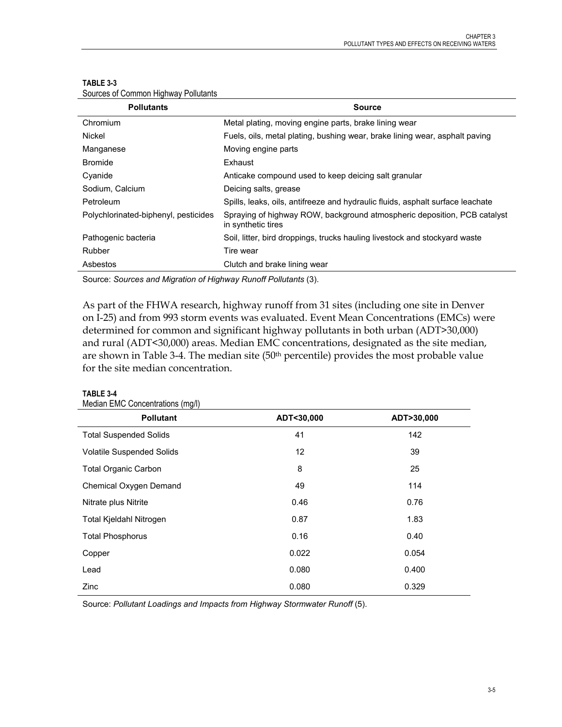| <b>Source</b>                                                                                  |
|------------------------------------------------------------------------------------------------|
| Metal plating, moving engine parts, brake lining wear                                          |
| Fuels, oils, metal plating, bushing wear, brake lining wear, asphalt paving                    |
| Moving engine parts                                                                            |
| Exhaust                                                                                        |
| Anticake compound used to keep deicing salt granular                                           |
| Deicing salts, grease                                                                          |
| Spills, leaks, oils, antifreeze and hydraulic fluids, asphalt surface leachate                 |
| Spraying of highway ROW, background atmospheric deposition, PCB catalyst<br>in synthetic tires |
| Soil, litter, bird droppings, trucks hauling livestock and stockyard waste                     |
| Tire wear                                                                                      |
| Clutch and brake lining wear                                                                   |
|                                                                                                |

#### **TABLE 3-3**

Sources of Common Highway Pollutants

Source: *Sources and Migration of Highway Runoff Pollutants* (3).

As part of the FHWA research, highway runoff from 31 sites (including one site in Denver on I-25) and from 993 storm events was evaluated. Event Mean Concentrations (EMCs) were determined for common and significant highway pollutants in both urban (ADT>30,000) and rural (ADT<30,000) areas. Median EMC concentrations, designated as the site median, are shown in Table 3-4. The median site (50<sup>th</sup> percentile) provides the most probable value for the site median concentration.

| <b>Pollutant</b>                 | ADT<30,000 | ADT>30,000 |
|----------------------------------|------------|------------|
| <b>Total Suspended Solids</b>    | 41         | 142        |
| <b>Volatile Suspended Solids</b> | 12         | 39         |
| <b>Total Organic Carbon</b>      | 8          | 25         |
| Chemical Oxygen Demand           | 49         | 114        |
| Nitrate plus Nitrite             | 0.46       | 0.76       |
| Total Kjeldahl Nitrogen          | 0.87       | 1.83       |
| <b>Total Phosphorus</b>          | 0.16       | 0.40       |
| Copper                           | 0.022      | 0.054      |
| Lead                             | 0.080      | 0.400      |
| Zinc                             | 0.080      | 0.329      |

### Median EMC Concentrations (mg/l)

**TABLE 3-4**

Source: Pollutant Loadings and Impacts from Highway Stormwater Runoff (5).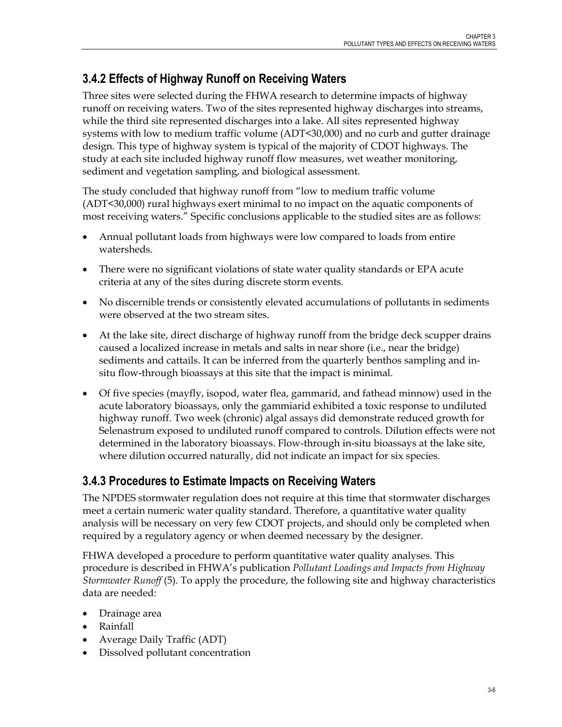## **3.4.2 Effects of Highway Runoff on Receiving Waters**

Three sites were selected during the FHWA research to determine impacts of highway runoff on receiving waters. Two of the sites represented highway discharges into streams, while the third site represented discharges into a lake. All sites represented highway systems with low to medium traffic volume (ADT<30,000) and no curb and gutter drainage design. This type of highway system is typical of the majority of CDOT highways. The study at each site included highway runoff flow measures, wet weather monitoring, sediment and vegetation sampling, and biological assessment.

The study concluded that highway runoff from "low to medium traffic volume (ADT<30,000) rural highways exert minimal to no impact on the aquatic components of most receiving waters." Specific conclusions applicable to the studied sites are as follows:

- Annual pollutant loads from highways were low compared to loads from entire watersheds.
- There were no significant violations of state water quality standards or EPA acute criteria at any of the sites during discrete storm events.
- No discernible trends or consistently elevated accumulations of pollutants in sediments were observed at the two stream sites.
- At the lake site, direct discharge of highway runoff from the bridge deck scupper drains caused a localized increase in metals and salts in near shore (i.e., near the bridge) sediments and cattails. It can be inferred from the quarterly benthos sampling and insitu flow-through bioassays at this site that the impact is minimal.
- Of five species (mayfly, isopod, water flea, gammarid, and fathead minnow) used in the acute laboratory bioassays, only the gammiarid exhibited a toxic response to undiluted highway runoff. Two week (chronic) algal assays did demonstrate reduced growth for Selenastrum exposed to undiluted runoff compared to controls. Dilution effects were not determined in the laboratory bioassays. Flow-through in-situ bioassays at the lake site, where dilution occurred naturally, did not indicate an impact for six species.

## **3.4.3 Procedures to Estimate Impacts on Receiving Waters**

The NPDES stormwater regulation does not require at this time that stormwater discharges meet a certain numeric water quality standard. Therefore, a quantitative water quality analysis will be necessary on very few CDOT projects, and should only be completed when required by a regulatory agency or when deemed necessary by the designer.

FHWA developed a procedure to perform quantitative water quality analyses. This procedure is described in FHWA's publication *Pollutant Loadings and Impacts from Highway Stormwater Runoff* (5). To apply the procedure, the following site and highway characteristics data are needed:

- Drainage area
- Rainfall
- Average Daily Traffic (ADT)
- Dissolved pollutant concentration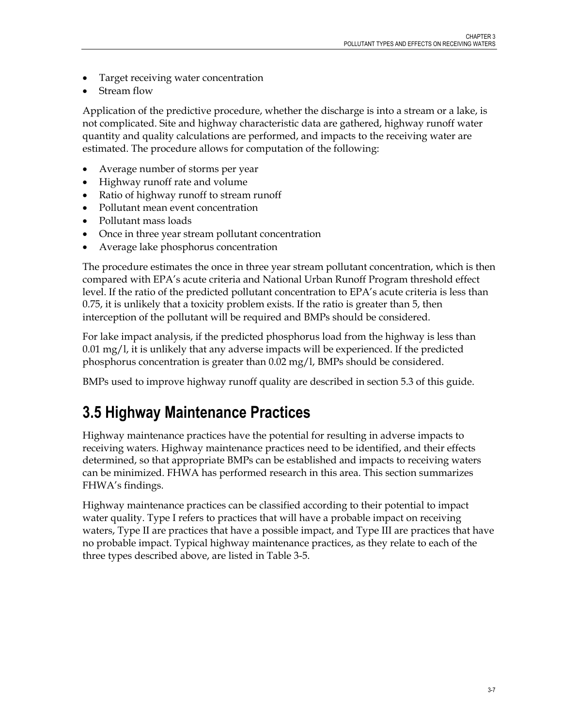- Target receiving water concentration
- Stream flow

Application of the predictive procedure, whether the discharge is into a stream or a lake, is not complicated. Site and highway characteristic data are gathered, highway runoff water quantity and quality calculations are performed, and impacts to the receiving water are estimated. The procedure allows for computation of the following:

- Average number of storms per year
- Highway runoff rate and volume
- Ratio of highway runoff to stream runoff
- Pollutant mean event concentration
- Pollutant mass loads
- Once in three year stream pollutant concentration
- Average lake phosphorus concentration

The procedure estimates the once in three year stream pollutant concentration, which is then compared with EPA's acute criteria and National Urban Runoff Program threshold effect level. If the ratio of the predicted pollutant concentration to EPA's acute criteria is less than 0.75, it is unlikely that a toxicity problem exists. If the ratio is greater than 5, then interception of the pollutant will be required and BMPs should be considered.

For lake impact analysis, if the predicted phosphorus load from the highway is less than  $0.01 \,\mathrm{mg}/l$ , it is unlikely that any adverse impacts will be experienced. If the predicted phosphorus concentration is greater than 0.02 mg/l, BMPs should be considered.

BMPs used to improve highway runoff quality are described in section 5.3 of this guide.

## **3.5 Highway Maintenance Practices**

Highway maintenance practices have the potential for resulting in adverse impacts to receiving waters. Highway maintenance practices need to be identified, and their effects determined, so that appropriate BMPs can be established and impacts to receiving waters can be minimized. FHWA has performed research in this area. This section summarizes FHWA's findings.

Highway maintenance practices can be classified according to their potential to impact water quality. Type I refers to practices that will have a probable impact on receiving waters, Type II are practices that have a possible impact, and Type III are practices that have no probable impact. Typical highway maintenance practices, as they relate to each of the three types described above, are listed in Table 3-5.